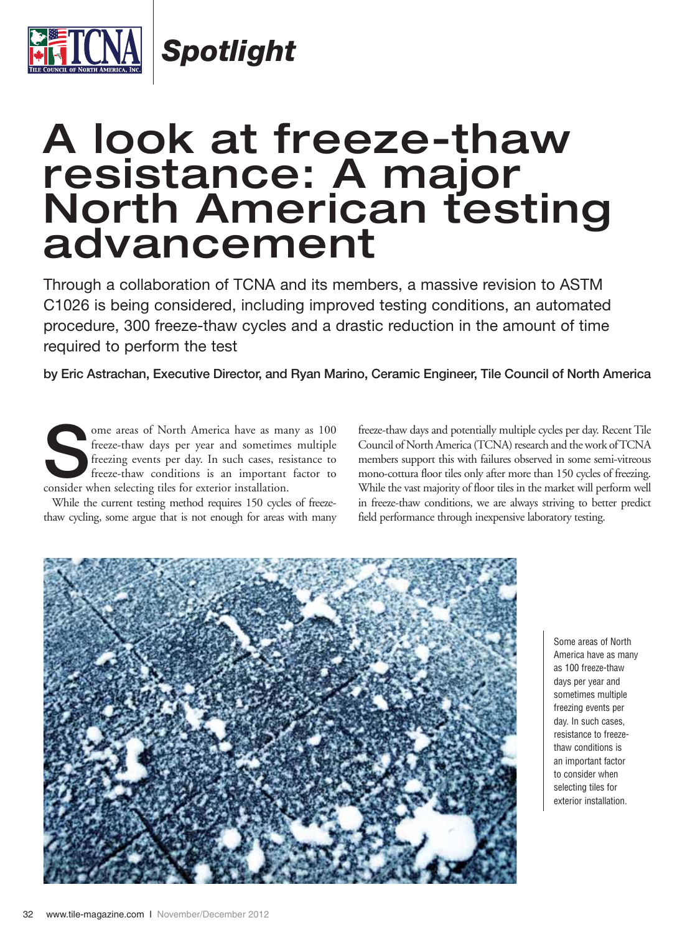

*Spotlight*

# A look at freeze-thaw resistance: A major North American testing advancement

Through a collaboration of TCNA and its members, a massive revision to ASTM C1026 is being considered, including improved testing conditions, an automated procedure, 300 freeze-thaw cycles and a drastic reduction in the amount of time required to perform the test

**by Eric Astrachan, Executive Director, and Ryan Marino, Ceramic Engineer, Tile Council of North America**

Some areas of North America have as many as 100 freeze-thaw days per year and sometimes multiple freezing events per day. In such cases, resistance to freeze-thaw conditions is an important factor to consider when selectin freeze-thaw days per year and sometimes multiple freezing events per day. In such cases, resistance to freeze-thaw conditions is an important factor to consider when selecting tiles for exterior installation.

While the current testing method requires 150 cycles of freezethaw cycling, some argue that is not enough for areas with many

freeze-thaw days and potentially multiple cycles per day. Recent Tile Council of North America (TCNA) research and the work of TCNA members support this with failures observed in some semi-vitreous mono-cottura floor tiles only after more than 150 cycles of freezing. While the vast majority of floor tiles in the market will perform well in freeze-thaw conditions, we are always striving to better predict field performance through inexpensive laboratory testing.



Some areas of North America have as many as 100 freeze-thaw days per year and sometimes multiple freezing events per day. In such cases, resistance to freezethaw conditions is an important factor to consider when selecting tiles for exterior installation.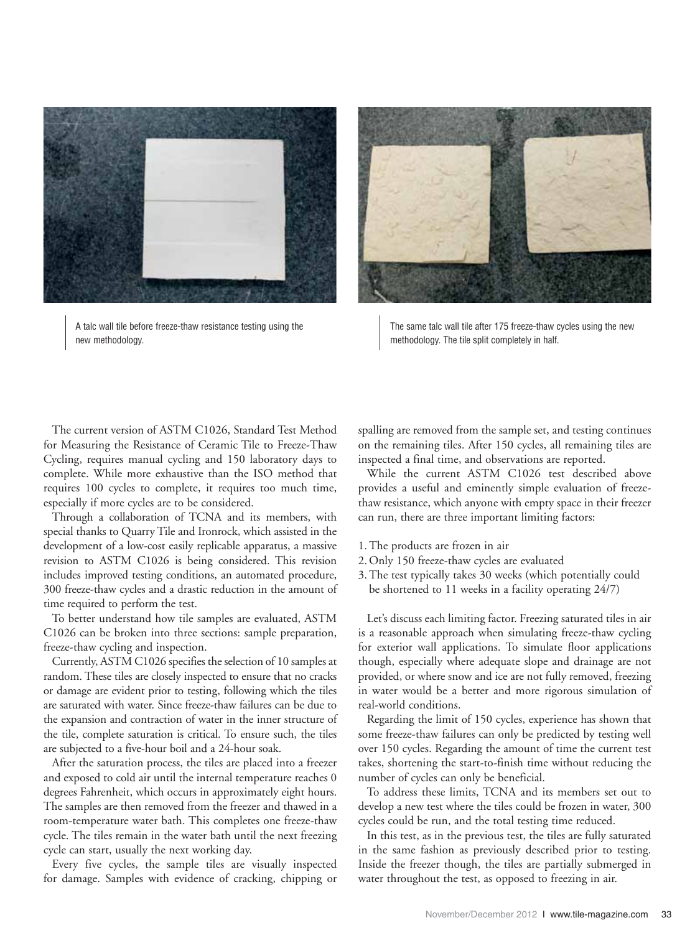

A talc wall tile before freeze-thaw resistance testing using the new methodology.



The same talc wall tile after 175 freeze-thaw cycles using the new methodology. The tile split completely in half.

The current version of ASTM C1026, Standard Test Method for Measuring the Resistance of Ceramic Tile to Freeze-Thaw Cycling, requires manual cycling and 150 laboratory days to complete. While more exhaustive than the ISO method that requires 100 cycles to complete, it requires too much time, especially if more cycles are to be considered.

Through a collaboration of TCNA and its members, with special thanks to Quarry Tile and Ironrock, which assisted in the development of a low-cost easily replicable apparatus, a massive revision to ASTM C1026 is being considered. This revision includes improved testing conditions, an automated procedure, 300 freeze-thaw cycles and a drastic reduction in the amount of time required to perform the test.

To better understand how tile samples are evaluated, ASTM C1026 can be broken into three sections: sample preparation, freeze-thaw cycling and inspection.

Currently, ASTM C1026 specifies the selection of 10 samples at random. These tiles are closely inspected to ensure that no cracks or damage are evident prior to testing, following which the tiles are saturated with water. Since freeze-thaw failures can be due to the expansion and contraction of water in the inner structure of the tile, complete saturation is critical. To ensure such, the tiles are subjected to a five-hour boil and a 24-hour soak.

After the saturation process, the tiles are placed into a freezer and exposed to cold air until the internal temperature reaches 0 degrees Fahrenheit, which occurs in approximately eight hours. The samples are then removed from the freezer and thawed in a room-temperature water bath. This completes one freeze-thaw cycle. The tiles remain in the water bath until the next freezing cycle can start, usually the next working day.

Every five cycles, the sample tiles are visually inspected for damage. Samples with evidence of cracking, chipping or spalling are removed from the sample set, and testing continues on the remaining tiles. After 150 cycles, all remaining tiles are inspected a final time, and observations are reported.

While the current ASTM C1026 test described above provides a useful and eminently simple evaluation of freezethaw resistance, which anyone with empty space in their freezer can run, there are three important limiting factors:

- 1. The products are frozen in air
- 2. Only 150 freeze-thaw cycles are evaluated
- 3. The test typically takes 30 weeks (which potentially could be shortened to 11 weeks in a facility operating 24/7)

Let's discuss each limiting factor. Freezing saturated tiles in air is a reasonable approach when simulating freeze-thaw cycling for exterior wall applications. To simulate floor applications though, especially where adequate slope and drainage are not provided, or where snow and ice are not fully removed, freezing in water would be a better and more rigorous simulation of real-world conditions.

Regarding the limit of 150 cycles, experience has shown that some freeze-thaw failures can only be predicted by testing well over 150 cycles. Regarding the amount of time the current test takes, shortening the start-to-finish time without reducing the number of cycles can only be beneficial.

To address these limits, TCNA and its members set out to develop a new test where the tiles could be frozen in water, 300 cycles could be run, and the total testing time reduced.

In this test, as in the previous test, the tiles are fully saturated in the same fashion as previously described prior to testing. Inside the freezer though, the tiles are partially submerged in water throughout the test, as opposed to freezing in air.